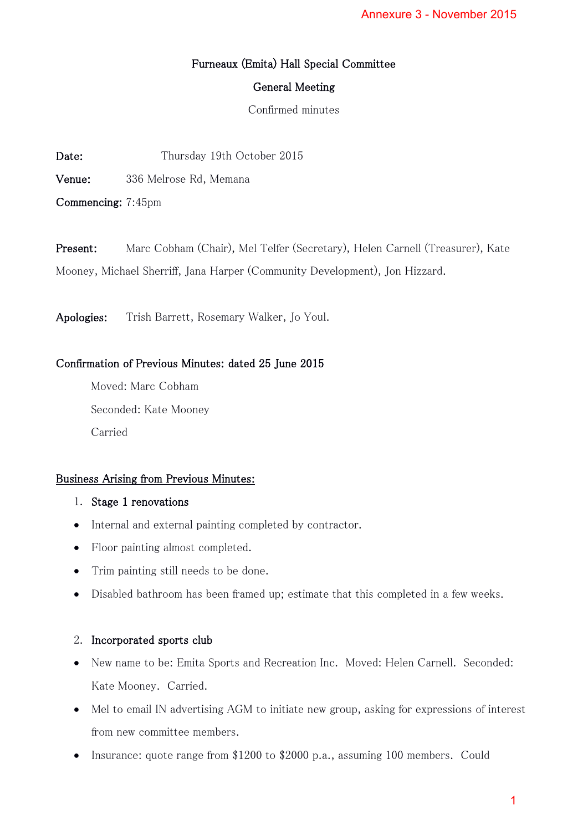# Furneaux (Emita) Hall Special Committee

## General Meeting

Confirmed minutes

Date: Thursday 19th October 2015

Venue: 336 Melrose Rd, Memana

Commencing: 7:45pm

Present: Marc Cobham (Chair), Mel Telfer (Secretary), Helen Carnell (Treasurer), Kate Mooney, Michael Sherriff, Jana Harper (Community Development), Jon Hizzard.

Apologies: Trish Barrett, Rosemary Walker, Jo Youl.

# Confirmation of Previous Minutes: dated 25 June 2015

Moved: Marc Cobham Seconded: Kate Mooney Carried

## Business Arising from Previous Minutes:

## 1. Stage 1 renovations

- Internal and external painting completed by contractor.
- Floor painting almost completed.
- Trim painting still needs to be done.
- Disabled bathroom has been framed up; estimate that this completed in a few weeks.

## 2. Incorporated sports club

- New name to be: Emita Sports and Recreation Inc. Moved: Helen Carnell. Seconded: Kate Mooney. Carried.
- Mel to email IN advertising AGM to initiate new group, asking for expressions of interest from new committee members. Annexure 3 - November 2015<br>
intitee<br>
intitee<br>
intitee<br>
elen Carnell (Treasurer), Kate<br>
ent), Jon Hizzard.<br>
intitee<br>
asking for expressions of interes<br>
intites<br>
intites<br>
intites.<br>
Could<br>
1
- Insurance: quote range from \$1200 to \$2000 p.a., assuming 100 members. Could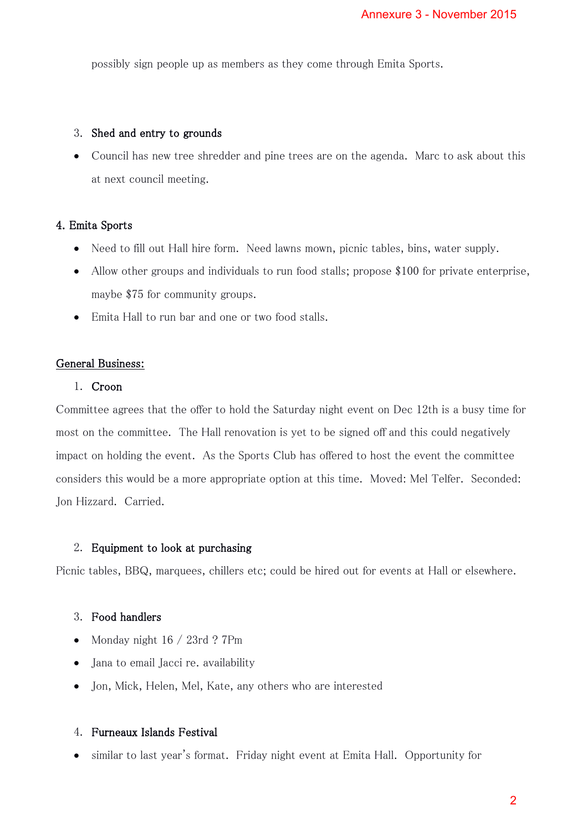possibly sign people up as members as they come through Emita Sports.

#### 3. Shed and entry to grounds

• Council has new tree shredder and pine trees are on the agenda. Marc to ask about this at next council meeting.

#### 4. Emita Sports

- Need to fill out Hall hire form. Need lawns mown, picnic tables, bins, water supply.
- Allow other groups and individuals to run food stalls; propose \$100 for private enterprise, maybe \$75 for community groups.
- Emita Hall to run bar and one or two food stalls.

### General Business:

#### 1. Croon

Committee agrees that the offer to hold the Saturday night event on Dec 12th is a busy time for most on the committee. The Hall renovation is yet to be signed off and this could negatively impact on holding the event. As the Sports Club has offered to host the event the committee considers this would be a more appropriate option at this time. Moved: Mel Telfer. Seconded: Jon Hizzard. Carried. Annexure 3 - November 2015<br>gh Emita Sports.<br>gh Emita Sports.<br>e agenda. Marc to ask about this<br>ic tables, bins, water supply.<br>ropose \$100 for private enterpris<br>ed off and this could negatively<br>o host the event the committee

#### 2. Equipment to look at purchasing

Picnic tables, BBQ, marquees, chillers etc; could be hired out for events at Hall or elsewhere.

#### 3. Food handlers

- Monday night  $16 / 23$ rd ? 7Pm
- Jana to email Jacci re. availability
- Jon, Mick, Helen, Mel, Kate, any others who are interested

### 4. Furneaux Islands Festival

similar to last year's format. Friday night event at Emita Hall. Opportunity for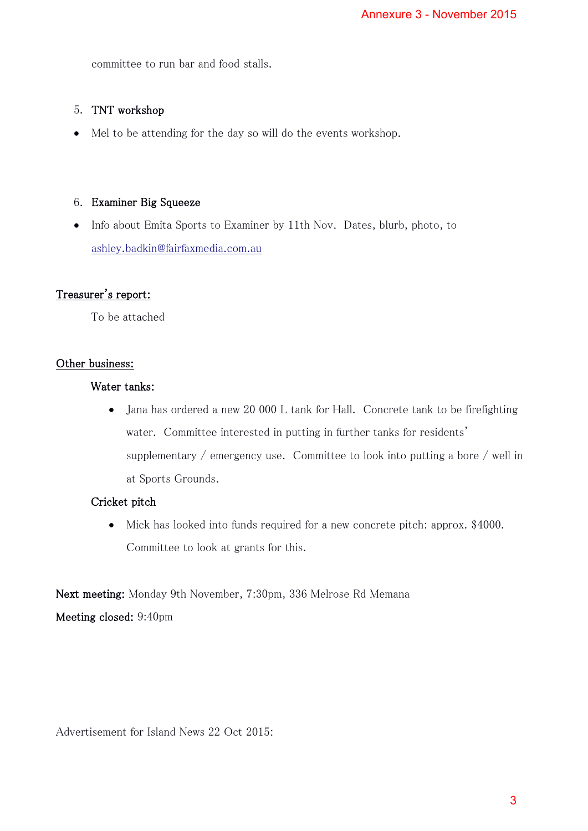committee to run bar and food stalls.

# 5. TNT workshop

Mel to be attending for the day so will do the events workshop.

## 6. Examiner Big Squeeze

 Info about Emita Sports to Examiner by 11th Nov. Dates, blurb, photo, to [ashley.badkin@fairfaxmedia.com.au](mailto:ashley.badkin@fairfaxmedia.com.au)

# Treasurer's report:

To be attached

## Other business:

#### Water tanks:

 Jana has ordered a new 20 000 L tank for Hall. Concrete tank to be firefighting water. Committee interested in putting in further tanks for residents' supplementary / emergency use. Committee to look into putting a bore / well in at Sports Grounds. Annexure 3 - November 2015<br>
Sprkshop.<br>
es, blurb, photo, to<br>
concrete tank to be firefighting<br>
er tanks for residents'<br>
look into putting a bore / well in<br>
poncrete pitch: approx. \$4000.<br>
d Memana<br>
3

## Cricket pitch

 Mick has looked into funds required for a new concrete pitch: approx. \$4000. Committee to look at grants for this.

Next meeting: Monday 9th November, 7:30pm, 336 Melrose Rd Memana Meeting closed: 9:40pm

Advertisement for Island News 22 Oct 2015: